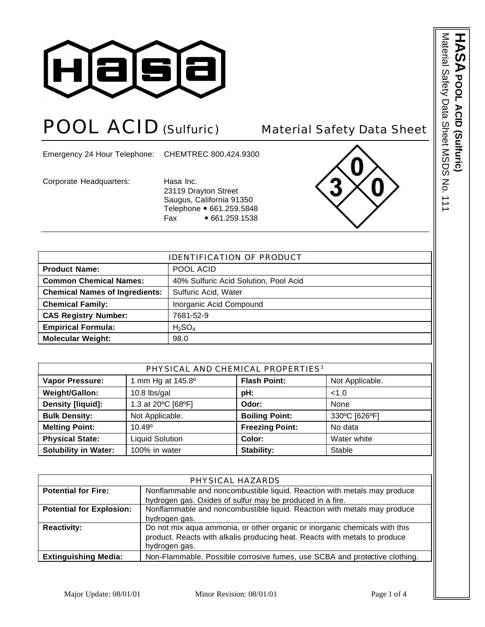

# POOL ACID (Sulfuric) Material Safety Data Sheet

Emergency 24 Hour Telephone: CHEMTREC 800.424.9300

Corporate Headquarters: Hasa Inc.

23119 Drayton Street Saugus, California 91350 Telephone • 661.259.5848 Fax • 661.259.1538



| <b>IDENTIFICATION OF PRODUCT</b>      |                                       |  |
|---------------------------------------|---------------------------------------|--|
| <b>Product Name:</b>                  | POOL ACID                             |  |
| <b>Common Chemical Names:</b>         | 40% Sulfuric Acid Solution, Pool Acid |  |
| <b>Chemical Names of Ingredients:</b> | Sulfuric Acid, Water                  |  |
| <b>Chemical Family:</b>               | Inorganic Acid Compound               |  |
| <b>CAS Registry Number:</b>           | 7681-52-9                             |  |
| <b>Empirical Formula:</b>             | $H_2SO_4$                             |  |
| <b>Molecular Weight:</b>              | 98.0                                  |  |

| PHYSICAL AND CHEMICAL PROPERTIES <sup>1</sup> |                        |                        |                 |
|-----------------------------------------------|------------------------|------------------------|-----------------|
| <b>Vapor Pressure:</b>                        | mm Hg at 145.8°        | <b>Flash Point:</b>    | Not Applicable. |
| Weight/Gallon:                                | $10.8$ lbs/gal         | pH:                    | < 1.0           |
| Density [liquid]:                             | 1.3 at 20°C [68°F]     | Odor:                  | None            |
| <b>Bulk Density:</b>                          | Not Applicable.        | <b>Boiling Point:</b>  | 330°C [626°F]   |
| <b>Melting Point:</b>                         | $10.49^{\circ}$        | <b>Freezing Point:</b> | No data         |
| <b>Physical State:</b>                        | <b>Liquid Solution</b> | Color:                 | Water white     |
| <b>Solubility in Water:</b>                   | 100% in water          | Stability:             | Stable          |

| PHYSICAL HAZARDS                |                                                                            |  |  |
|---------------------------------|----------------------------------------------------------------------------|--|--|
| <b>Potential for Fire:</b>      | Nonflammable and noncombustible liquid. Reaction with metals may produce   |  |  |
|                                 | hydrogen gas. Oxides of sulfur may be produced in a fire.                  |  |  |
| <b>Potential for Explosion:</b> | Nonflammable and noncombustible liquid. Reaction with metals may produce   |  |  |
|                                 | hydrogen gas.                                                              |  |  |
| <b>Reactivity:</b>              | Do not mix aqua ammonia, or other organic or inorganic chemicals with this |  |  |
|                                 | product. Reacts with alkalis producing heat. Reacts with metals to produce |  |  |
|                                 | hydrogen gas.                                                              |  |  |
| <b>Extinguishing Media:</b>     | Non-Flammable. Possible corrosive fumes, use SCBA and protective clothing. |  |  |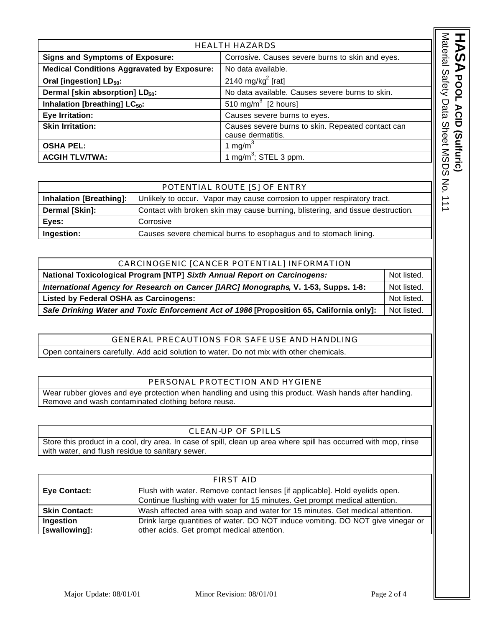| <b>HEALTH HAZARDS</b>                                                                      |  |                                                                               |
|--------------------------------------------------------------------------------------------|--|-------------------------------------------------------------------------------|
| <b>Signs and Symptoms of Exposure:</b><br>Corrosive. Causes severe burns to skin and eyes. |  |                                                                               |
| <b>Medical Conditions Aggravated by Exposure:</b>                                          |  | No data available.                                                            |
| Oral [ingestion] LD <sub>50</sub> :                                                        |  | 2140 mg/kg <sup>2</sup> [rat]                                                 |
| Dermal [skin absorption] LD <sub>50</sub> :                                                |  | No data available. Causes severe burns to skin.                               |
| Inhalation [breathing] LC <sub>50</sub> :                                                  |  | 510 mg/m $3$ [2 hours]                                                        |
| Eye Irritation:                                                                            |  | Causes severe burns to eyes.                                                  |
| <b>Skin Irritation:</b>                                                                    |  | Causes severe burns to skin. Repeated contact can<br>cause dermatitis.        |
| <b>OSHA PEL:</b>                                                                           |  | 1 mg/m $3$                                                                    |
| <b>ACGIH TLV/TWA:</b>                                                                      |  | 1 mg/m <sup>3</sup> ; STEL 3 ppm.                                             |
|                                                                                            |  |                                                                               |
| POTENTIAL ROUTE [S] OF ENTRY                                                               |  |                                                                               |
| <b>Inhalation [Breathing]:</b>                                                             |  | Unlikely to occur. Vapor may cause corrosion to upper respiratory tract.      |
| Dormal [Clin].                                                                             |  | Contact with broken ckin may cause burning blictoring, and ticque dectruction |

| POTENTIAL ROUTE [S] OF ENTRY   |                                                                                 |  |
|--------------------------------|---------------------------------------------------------------------------------|--|
| <b>Inhalation [Breathing]:</b> | Unlikely to occur. Vapor may cause corrosion to upper respiratory tract.        |  |
| Dermal [Skin]:                 | Contact with broken skin may cause burning, blistering, and tissue destruction. |  |
| Eyes:                          | Corrosive                                                                       |  |
| Ingestion:                     | Causes severe chemical burns to esophagus and to stomach lining.                |  |

| CARCINOGENIC [CANCER POTENTIAL] INFORMATION                                              |             |  |
|------------------------------------------------------------------------------------------|-------------|--|
| National Toxicological Program [NTP] Sixth Annual Report on Carcinogens:                 |             |  |
| International Agency for Research on Cancer [IARC] Monographs, V. 1-53, Supps. 1-8:      |             |  |
| Listed by Federal OSHA as Carcinogens:                                                   | Not listed. |  |
| Safe Drinking Water and Toxic Enforcement Act of 1986 [Proposition 65, California only]: |             |  |

## GENERAL PRECAUTIONS FOR SAFE USE AND HANDLING

Open containers carefully. Add acid solution to water. Do not mix with other chemicals.

### PERSONAL PROTECTION AND HYGIENE

Wear rubber gloves and eye protection when handling and using this product. Wash hands after handling. Remove and wash contaminated clothing before reuse.

#### CLEAN-UP OF SPILLS

Store this product in a cool, dry area. In case of spill, clean up area where spill has occurred with mop, rinse with water, and flush residue to sanitary sewer.

|                      | FIRST AID                                                                       |
|----------------------|---------------------------------------------------------------------------------|
| <b>Eye Contact:</b>  | Flush with water. Remove contact lenses [if applicable]. Hold eyelids open.     |
|                      | Continue flushing with water for 15 minutes. Get prompt medical attention.      |
| <b>Skin Contact:</b> | Wash affected area with soap and water for 15 minutes. Get medical attention.   |
| Ingestion            | Drink large quantities of water. DO NOT induce vomiting. DO NOT give vinegar or |
| [swallowing]:        | other acids. Get prompt medical attention.                                      |

ASA POOL ACID (Sultric)

**POOL ACID (Sulfuric)**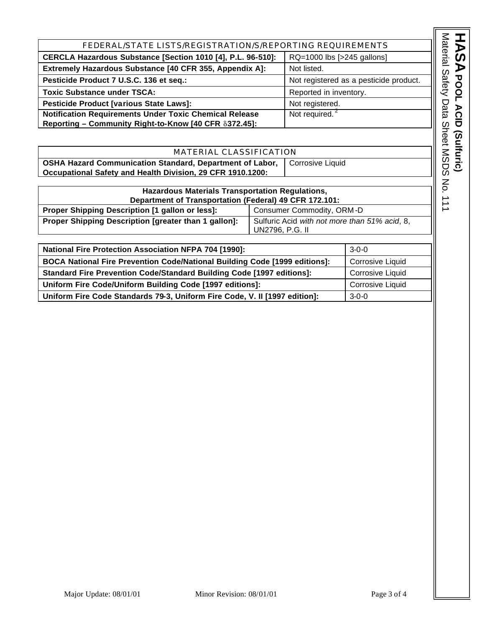| FEDERAL/STATE LISTS/REGISTRATION/S/REPORTING REQUIREMENTS                                 |                                        |  |
|-------------------------------------------------------------------------------------------|----------------------------------------|--|
| CERCLA Hazardous Substance [Section 1010 [4], P.L. 96-510]:<br>RQ=1000 lbs [>245 gallons] |                                        |  |
| Extremely Hazardous Substance [40 CFR 355, Appendix A]:<br>Not listed.                    |                                        |  |
| Pesticide Product 7 U.S.C. 136 et seq.:                                                   | Not registered as a pesticide product. |  |
| <b>Toxic Substance under TSCA:</b><br>Reported in inventory.                              |                                        |  |
| Pesticide Product [various State Laws]:                                                   | Not registered.                        |  |
| <b>Notification Requirements Under Toxic Chemical Release</b>                             | Not required.                          |  |
| Reporting - Community Right-to-Know [40 CFR 8372.45]:                                     |                                        |  |
|                                                                                           |                                        |  |

| MATERIAL CLASSIFICATION                                         |                    |  |
|-----------------------------------------------------------------|--------------------|--|
| <b>OSHA Hazard Communication Standard, Department of Labor,</b> | I Corrosive Liquid |  |
| Occupational Safety and Health Division, 29 CFR 1910.1200:      |                    |  |

| Hazardous Materials Transportation Regulations,        |                                                                  |  |
|--------------------------------------------------------|------------------------------------------------------------------|--|
| Department of Transportation (Federal) 49 CFR 172.101: |                                                                  |  |
| Proper Shipping Description [1 gallon or less]:        | Consumer Commodity, ORM-D                                        |  |
| Proper Shipping Description [greater than 1 gallon]:   | Sulfuric Acid with not more than 51% acid, 8,<br>UN2796, P.G. II |  |

| <b>National Fire Protection Association NFPA 704 [1990]:</b>               | $3-0-0$                 |
|----------------------------------------------------------------------------|-------------------------|
| BOCA National Fire Prevention Code/National Building Code [1999 editions]: | <b>Corrosive Liquid</b> |
| Standard Fire Prevention Code/Standard Building Code [1997 editions]:      | <b>Corrosive Liquid</b> |
| Uniform Fire Code/Uniform Building Code [1997 editions]:                   | <b>Corrosive Liquid</b> |
| Uniform Fire Code Standards 79-3, Uniform Fire Code, V. II [1997 edition]: | $3 - 0 - 0$             |